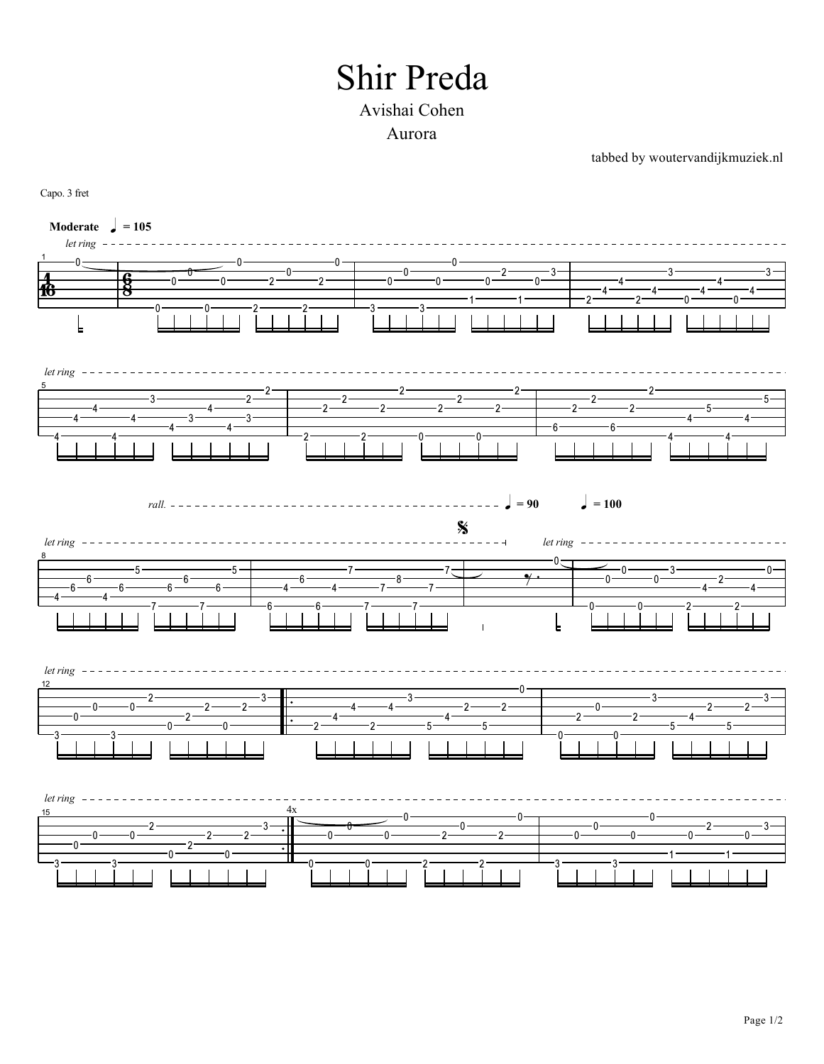## **Shir Preda**

## Avishai Cohen Aurora

tabbed by woutervandijkmuziek.nl